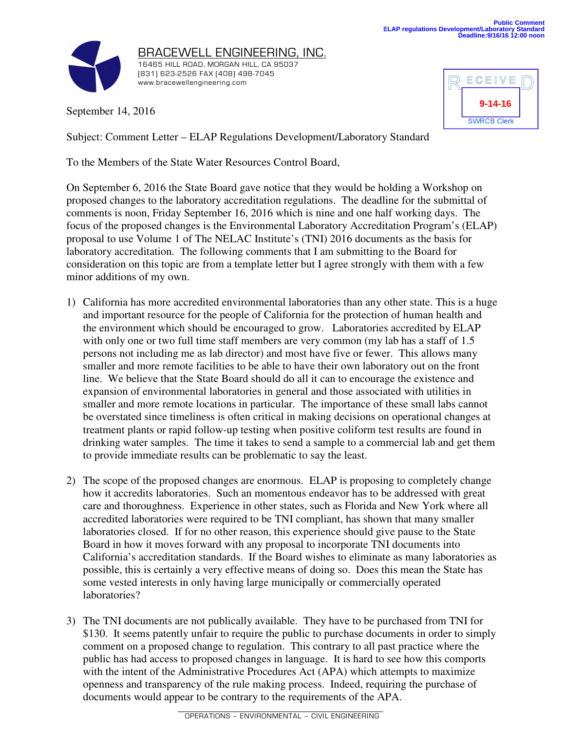

September 14, 2016

| ECEIVE             |  |
|--------------------|--|
| $9 - 14 - 16$      |  |
| <b>SWRCB Clerk</b> |  |

Subject: Comment Letter – ELAP Regulations Development/Laboratory Standard

To the Members of the State Water Resources Control Board,

On September 6, 2016 the State Board gave notice that they would be holding a Workshop on proposed changes to the laboratory accreditation regulations. The deadline for the submittal of comments is noon, Friday September 16, 2016 which is nine and one half working days. The focus of the proposed changes is the Environmental Laboratory Accreditation Program's (ELAP) proposal to use Volume 1 of The NELAC Institute's (TNI) 2016 documents as the basis for laboratory accreditation. The following comments that I am submitting to the Board for consideration on this topic are from a template letter but I agree strongly with them with a few minor additions of my own.

- 1) California has more accredited environmental laboratories than any other state. This is a huge and important resource for the people of California for the protection of human health and the environment which should be encouraged to grow. Laboratories accredited by ELAP with only one or two full time staff members are very common (my lab has a staff of 1.5 persons not including me as lab director) and most have five or fewer. This allows many smaller and more remote facilities to be able to have their own laboratory out on the front line. We believe that the State Board should do all it can to encourage the existence and expansion of environmental laboratories in general and those associated with utilities in smaller and more remote locations in particular. The importance of these small labs cannot be overstated since timeliness is often critical in making decisions on operational changes at treatment plants or rapid follow-up testing when positive coliform test results are found in drinking water samples. The time it takes to send a sample to a commercial lab and get them to provide immediate results can be problematic to say the least.
- 2) The scope of the proposed changes are enormous. ELAP is proposing to completely change how it accredits laboratories. Such an momentous endeavor has to be addressed with great care and thoroughness. Experience in other states, such as Florida and New York where all accredited laboratories were required to be TNI compliant, has shown that many smaller laboratories closed. If for no other reason, this experience should give pause to the State Board in how it moves forward with any proposal to incorporate TNI documents into California's accreditation standards. If the Board wishes to eliminate as many laboratories as possible, this is certainly a very effective means of doing so. Does this mean the State has some vested interests in only having large municipally or commercially operated laboratories?
- 3) The TNI documents are not publically available. They have to be purchased from TNI for \$130. It seems patently unfair to require the public to purchase documents in order to simply comment on a proposed change to regulation. This contrary to all past practice where the public has had access to proposed changes in language. It is hard to see how this comports with the intent of the Administrative Procedures Act (APA) which attempts to maximize openness and transparency of the rule making process. Indeed, requiring the purchase of documents would appear to be contrary to the requirements of the APA.